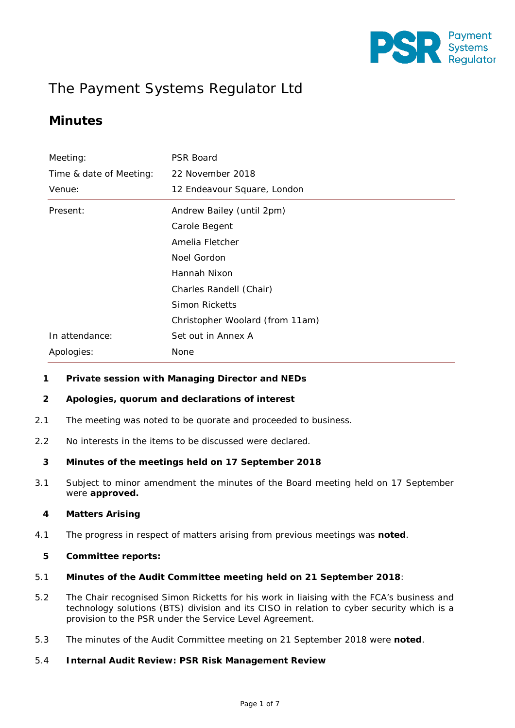

# The Payment Systems Regulator Ltd

## **Minutes**

| Meeting:                | <b>PSR Board</b>                |  |  |
|-------------------------|---------------------------------|--|--|
| Time & date of Meeting: | 22 November 2018                |  |  |
| Venue:                  | 12 Endeavour Square, London     |  |  |
| Present:                | Andrew Bailey (until 2pm)       |  |  |
|                         | Carole Begent                   |  |  |
|                         | Amelia Fletcher                 |  |  |
|                         | Noel Gordon                     |  |  |
|                         | Hannah Nixon                    |  |  |
|                         | Charles Randell (Chair)         |  |  |
|                         | Simon Ricketts                  |  |  |
|                         | Christopher Woolard (from 11am) |  |  |
| In attendance:          | Set out in Annex A              |  |  |
| Apologies:              | None                            |  |  |

#### **1 Private session with Managing Director and NEDs**

#### **2 Apologies, quorum and declarations of interest**

- 2.1 The meeting was noted to be quorate and proceeded to business.
- 2.2 No interests in the items to be discussed were declared.

#### **3 Minutes of the meetings held on 17 September 2018**

3.1 Subject to minor amendment the minutes of the Board meeting held on 17 September were **approved.**

#### **4 Matters Arising**

4.1 The progress in respect of matters arising from previous meetings was **noted**.

#### **5 Committee reports:**

## 5.1 **Minutes of the Audit Committee meeting held on 21 September 2018**:

- 5.2 The Chair recognised Simon Ricketts for his work in liaising with the FCA's business and technology solutions (BTS) division and its CISO in relation to cyber security which is a provision to the PSR under the Service Level Agreement.
- 5.3 The minutes of the Audit Committee meeting on 21 September 2018 were **noted**.

## 5.4 **Internal Audit Review: PSR Risk Management Review**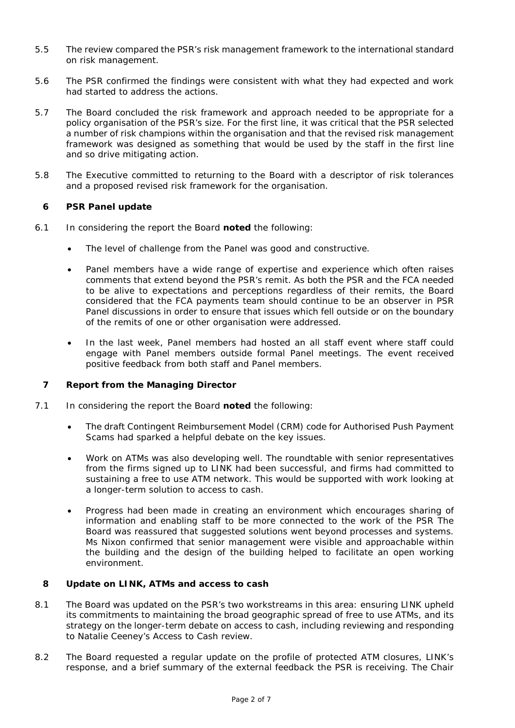- 5.5 The review compared the PSR's risk management framework to the international standard on risk management.
- 5.6 The PSR confirmed the findings were consistent with what they had expected and work had started to address the actions.
- 5.7 The Board concluded the risk framework and approach needed to be appropriate for a policy organisation of the PSR's size. For the first line, it was critical that the PSR selected a number of risk champions within the organisation and that the revised risk management framework was designed as something that would be used by the staff in the first line and so drive mitigating action.
- 5.8 The Executive committed to returning to the Board with a descriptor of risk tolerances and a proposed revised risk framework for the organisation.

#### **6 PSR Panel update**

- 6.1 In considering the report the Board **noted** the following:
	- The level of challenge from the Panel was good and constructive.
	- Panel members have a wide range of expertise and experience which often raises comments that extend beyond the PSR's remit. As both the PSR and the FCA needed to be alive to expectations and perceptions regardless of their remits, the Board considered that the FCA payments team should continue to be an observer in PSR Panel discussions in order to ensure that issues which fell outside or on the boundary of the remits of one or other organisation were addressed.
	- In the last week, Panel members had hosted an all staff event where staff could engage with Panel members outside formal Panel meetings. The event received positive feedback from both staff and Panel members.

#### **7 Report from the Managing Director**

- 7.1 In considering the report the Board **noted** the following:
	- The draft Contingent Reimbursement Model (CRM) code for Authorised Push Payment Scams had sparked a helpful debate on the key issues.
	- Work on ATMs was also developing well. The roundtable with senior representatives from the firms signed up to LINK had been successful, and firms had committed to sustaining a free to use ATM network. This would be supported with work looking at a longer-term solution to access to cash.
	- Progress had been made in creating an environment which encourages sharing of information and enabling staff to be more connected to the work of the PSR The Board was reassured that suggested solutions went beyond processes and systems. Ms Nixon confirmed that senior management were visible and approachable within the building and the design of the building helped to facilitate an open working environment.

#### **8 Update on LINK, ATMs and access to cash**

- 8.1 The Board was updated on the PSR's two workstreams in this area: ensuring LINK upheld its commitments to maintaining the broad geographic spread of free to use ATMs, and its strategy on the longer-term debate on access to cash, including reviewing and responding to Natalie Ceeney's Access to Cash review.
- 8.2 The Board requested a regular update on the profile of protected ATM closures, LINK's response, and a brief summary of the external feedback the PSR is receiving. The Chair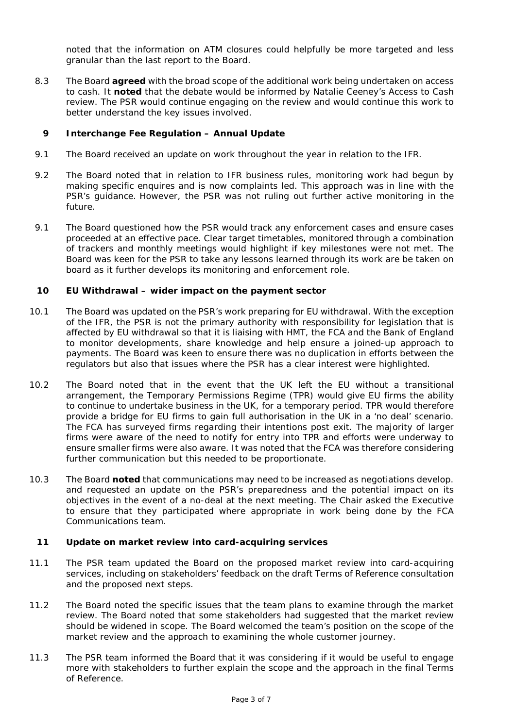noted that the information on ATM closures could helpfully be more targeted and less granular than the last report to the Board.

8.3 The Board **agreed** with the broad scope of the additional work being undertaken on access to cash. It **noted** that the debate would be informed by Natalie Ceeney's Access to Cash review. The PSR would continue engaging on the review and would continue this work to better understand the key issues involved.

#### **9 Interchange Fee Regulation – Annual Update**

- 9.1 The Board received an update on work throughout the year in relation to the IFR.
- 9.2 The Board noted that in relation to IFR business rules, monitoring work had begun by making specific enquires and is now complaints led. This approach was in line with the PSR's guidance. However, the PSR was not ruling out further active monitoring in the future.
- 9.1 The Board questioned how the PSR would track any enforcement cases and ensure cases proceeded at an effective pace. Clear target timetables, monitored through a combination of trackers and monthly meetings would highlight if key milestones were not met. The Board was keen for the PSR to take any lessons learned through its work are be taken on board as it further develops its monitoring and enforcement role.

#### **10 EU Withdrawal – wider impact on the payment sector**

- 10.1 The Board was updated on the PSR's work preparing for EU withdrawal. With the exception of the IFR, the PSR is not the primary authority with responsibility for legislation that is affected by EU withdrawal so that it is liaising with HMT, the FCA and the Bank of England to monitor developments, share knowledge and help ensure a joined-up approach to payments. The Board was keen to ensure there was no duplication in efforts between the regulators but also that issues where the PSR has a clear interest were highlighted.
- 10.2 The Board noted that in the event that the UK left the EU without a transitional arrangement, the Temporary Permissions Regime (TPR) would give EU firms the ability to continue to undertake business in the UK, for a temporary period. TPR would therefore provide a bridge for EU firms to gain full authorisation in the UK in a 'no deal' scenario. The FCA has surveyed firms regarding their intentions post exit. The majority of larger firms were aware of the need to notify for entry into TPR and efforts were underway to ensure smaller firms were also aware. It was noted that the FCA was therefore considering further communication but this needed to be proportionate.
- 10.3 The Board **noted** that communications may need to be increased as negotiations develop. and requested an update on the PSR's preparedness and the potential impact on its objectives in the event of a no-deal at the next meeting. The Chair asked the Executive to ensure that they participated where appropriate in work being done by the FCA Communications team.

#### **11 Update on market review into card-acquiring services**

- 11.1 The PSR team updated the Board on the proposed market review into card-acquiring services, including on stakeholders' feedback on the draft Terms of Reference consultation and the proposed next steps.
- 11.2 The Board noted the specific issues that the team plans to examine through the market review. The Board noted that some stakeholders had suggested that the market review should be widened in scope. The Board welcomed the team's position on the scope of the market review and the approach to examining the whole customer journey.
- 11.3 The PSR team informed the Board that it was considering if it would be useful to engage more with stakeholders to further explain the scope and the approach in the final Terms of Reference.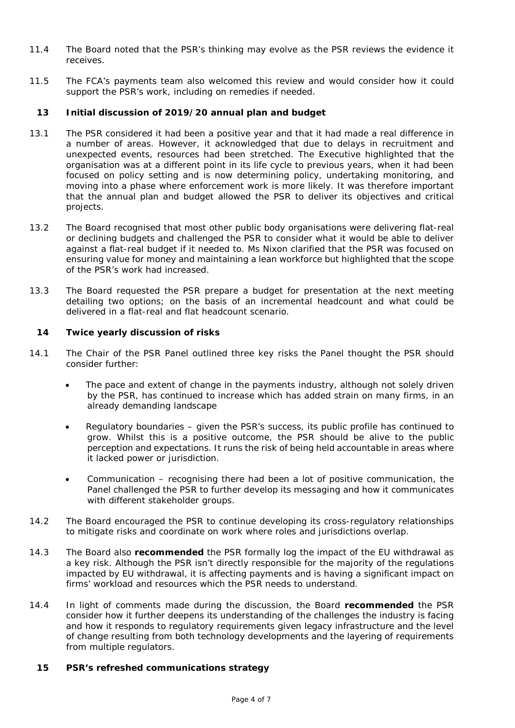- 11.4 The Board noted that the PSR's thinking may evolve as the PSR reviews the evidence it receives.
- 11.5 The FCA's payments team also welcomed this review and would consider how it could support the PSR's work, including on remedies if needed.

#### **13 Initial discussion of 2019/20 annual plan and budget**

- 13.1 The PSR considered it had been a positive year and that it had made a real difference in a number of areas. However, it acknowledged that due to delays in recruitment and unexpected events, resources had been stretched. The Executive highlighted that the organisation was at a different point in its life cycle to previous years, when it had been focused on policy setting and is now determining policy, undertaking monitoring, and moving into a phase where enforcement work is more likely. It was therefore important that the annual plan and budget allowed the PSR to deliver its objectives and critical projects.
- 13.2 The Board recognised that most other public body organisations were delivering flat-real or declining budgets and challenged the PSR to consider what it would be able to deliver against a flat-real budget if it needed to. Ms Nixon clarified that the PSR was focused on ensuring value for money and maintaining a lean workforce but highlighted that the scope of the PSR's work had increased.
- 13.3 The Board requested the PSR prepare a budget for presentation at the next meeting detailing two options; on the basis of an incremental headcount and what could be delivered in a flat-real and flat headcount scenario.

#### **14 Twice yearly discussion of risks**

- 14.1 The Chair of the PSR Panel outlined three key risks the Panel thought the PSR should consider further:
	- The pace and extent of change in the payments industry, although not solely driven by the PSR, has continued to increase which has added strain on many firms, in an already demanding landscape
	- Regulatory boundaries given the PSR's success, its public profile has continued to grow. Whilst this is a positive outcome, the PSR should be alive to the public perception and expectations. It runs the risk of being held accountable in areas where it lacked power or jurisdiction.
	- Communication recognising there had been a lot of positive communication, the Panel challenged the PSR to further develop its messaging and how it communicates with different stakeholder groups.
- 14.2 The Board encouraged the PSR to continue developing its cross-regulatory relationships to mitigate risks and coordinate on work where roles and jurisdictions overlap.
- 14.3 The Board also **recommended** the PSR formally log the impact of the EU withdrawal as a key risk. Although the PSR isn't directly responsible for the majority of the regulations impacted by EU withdrawal, it is affecting payments and is having a significant impact on firms' workload and resources which the PSR needs to understand.
- 14.4 In light of comments made during the discussion, the Board **recommended** the PSR consider how it further deepens its understanding of the challenges the industry is facing and how it responds to regulatory requirements given legacy infrastructure and the level of change resulting from both technology developments and the layering of requirements from multiple regulators.

#### **15 PSR's refreshed communications strategy**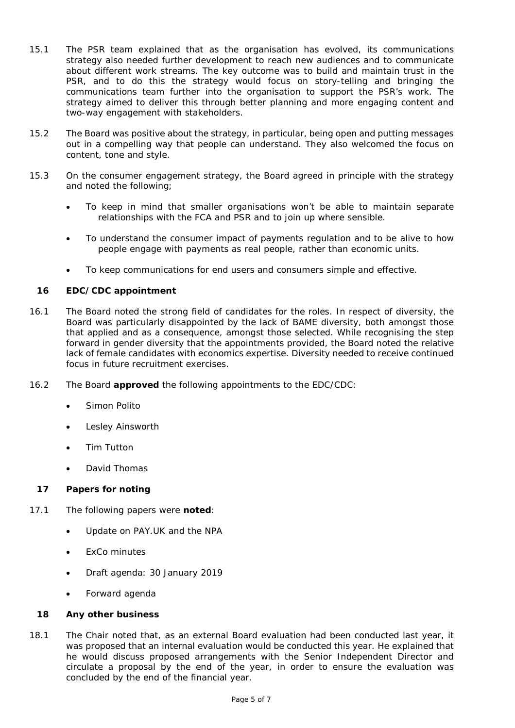- 15.1 The PSR team explained that as the organisation has evolved, its communications strategy also needed further development to reach new audiences and to communicate about different work streams. The key outcome was to build and maintain trust in the PSR, and to do this the strategy would focus on story-telling and bringing the communications team further into the organisation to support the PSR's work. The strategy aimed to deliver this through better planning and more engaging content and two-way engagement with stakeholders.
- 15.2 The Board was positive about the strategy, in particular, being open and putting messages out in a compelling way that people can understand. They also welcomed the focus on content, tone and style.
- 15.3 On the consumer engagement strategy, the Board agreed in principle with the strategy and noted the following;
	- To keep in mind that smaller organisations won't be able to maintain separate relationships with the FCA and PSR and to join up where sensible.
	- To understand the consumer impact of payments regulation and to be alive to how people engage with payments as real people, rather than economic units.
	- To keep communications for end users and consumers simple and effective.

#### **16 EDC/CDC appointment**

- 16.1 The Board noted the strong field of candidates for the roles. In respect of diversity, the Board was particularly disappointed by the lack of BAME diversity, both amongst those that applied and as a consequence, amongst those selected. While recognising the step forward in gender diversity that the appointments provided, the Board noted the relative lack of female candidates with economics expertise. Diversity needed to receive continued focus in future recruitment exercises.
- 16.2 The Board **approved** the following appointments to the EDC/CDC:
	- Simon Polito
	- Lesley Ainsworth
	- Tim Tutton
	- David Thomas

#### **17 Papers for noting**

- 17.1 The following papers were **noted**:
	- Update on PAY.UK and the NPA
	- ExCo minutes
	- Draft agenda: 30 January 2019
	- Forward agenda

#### **18 Any other business**

18.1 The Chair noted that, as an external Board evaluation had been conducted last year, it was proposed that an internal evaluation would be conducted this year. He explained that he would discuss proposed arrangements with the Senior Independent Director and circulate a proposal by the end of the year, in order to ensure the evaluation was concluded by the end of the financial year.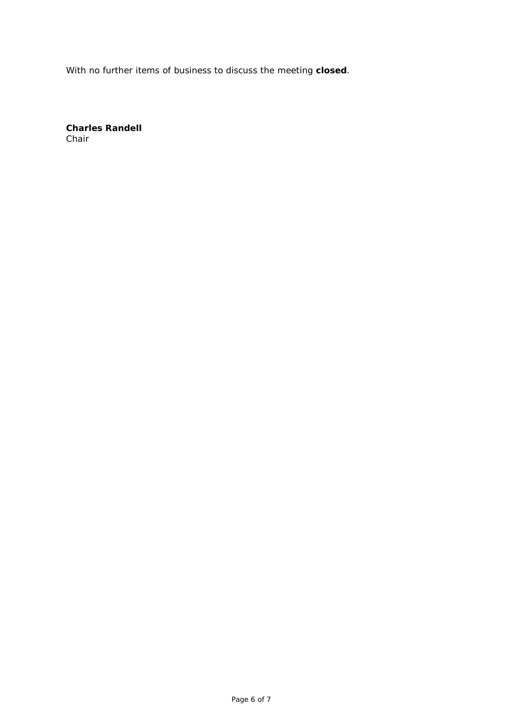With no further items of business to discuss the meeting **closed**.

**Charles Randell** Chair